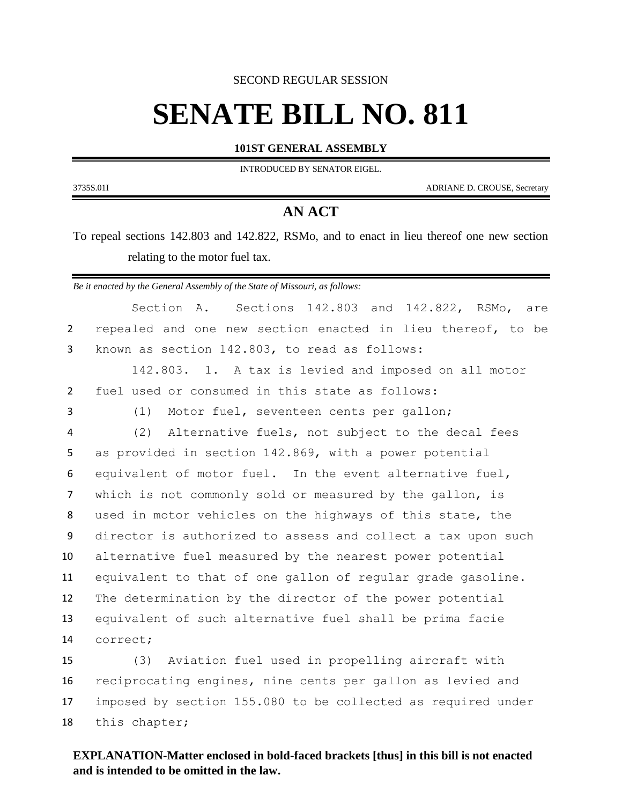SECOND REGULAR SESSION

## **SENATE BILL NO. 811**

**101ST GENERAL ASSEMBLY**

INTRODUCED BY SENATOR EIGEL.

3735S.01I ADRIANE D. CROUSE, Secretary

## **AN ACT**

To repeal sections 142.803 and 142.822, RSMo, and to enact in lieu thereof one new section relating to the motor fuel tax.

*Be it enacted by the General Assembly of the State of Missouri, as follows:*

Section A. Sections 142.803 and 142.822, RSMo, are repealed and one new section enacted in lieu thereof, to be known as section 142.803, to read as follows: 142.803. 1. A tax is levied and imposed on all motor fuel used or consumed in this state as follows: (1) Motor fuel, seventeen cents per gallon; (2) Alternative fuels, not subject to the decal fees as provided in section 142.869, with a power potential equivalent of motor fuel. In the event alternative fuel, which is not commonly sold or measured by the gallon, is used in motor vehicles on the highways of this state, the director is authorized to assess and collect a tax upon such alternative fuel measured by the nearest power potential equivalent to that of one gallon of regular grade gasoline. The determination by the director of the power potential equivalent of such alternative fuel shall be prima facie correct; (3) Aviation fuel used in propelling aircraft with reciprocating engines, nine cents per gallon as levied and imposed by section 155.080 to be collected as required under

this chapter;

## **EXPLANATION-Matter enclosed in bold-faced brackets [thus] in this bill is not enacted and is intended to be omitted in the law.**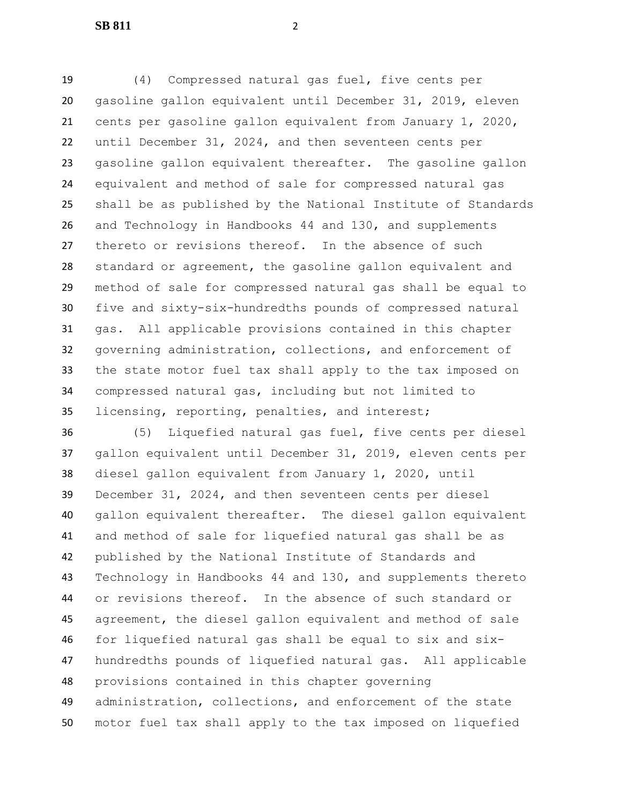**SB 811** 2

 (4) Compressed natural gas fuel, five cents per gasoline gallon equivalent until December 31, 2019, eleven cents per gasoline gallon equivalent from January 1, 2020, until December 31, 2024, and then seventeen cents per gasoline gallon equivalent thereafter. The gasoline gallon equivalent and method of sale for compressed natural gas shall be as published by the National Institute of Standards and Technology in Handbooks 44 and 130, and supplements thereto or revisions thereof. In the absence of such standard or agreement, the gasoline gallon equivalent and method of sale for compressed natural gas shall be equal to five and sixty-six-hundredths pounds of compressed natural gas. All applicable provisions contained in this chapter governing administration, collections, and enforcement of the state motor fuel tax shall apply to the tax imposed on compressed natural gas, including but not limited to licensing, reporting, penalties, and interest;

 (5) Liquefied natural gas fuel, five cents per diesel gallon equivalent until December 31, 2019, eleven cents per diesel gallon equivalent from January 1, 2020, until December 31, 2024, and then seventeen cents per diesel gallon equivalent thereafter. The diesel gallon equivalent and method of sale for liquefied natural gas shall be as published by the National Institute of Standards and Technology in Handbooks 44 and 130, and supplements thereto or revisions thereof. In the absence of such standard or agreement, the diesel gallon equivalent and method of sale for liquefied natural gas shall be equal to six and six- hundredths pounds of liquefied natural gas. All applicable provisions contained in this chapter governing administration, collections, and enforcement of the state motor fuel tax shall apply to the tax imposed on liquefied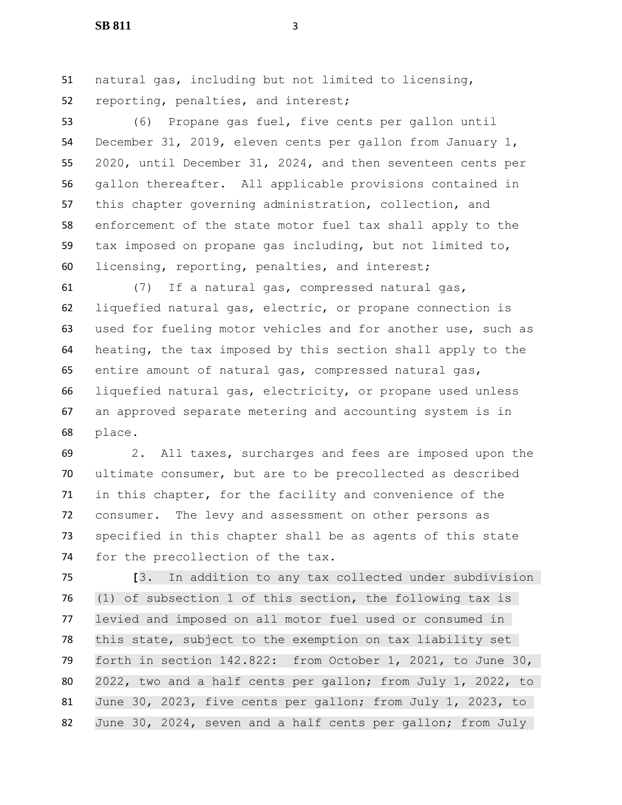**SB 811** 3

 natural gas, including but not limited to licensing, reporting, penalties, and interest;

 (6) Propane gas fuel, five cents per gallon until December 31, 2019, eleven cents per gallon from January 1, 2020, until December 31, 2024, and then seventeen cents per gallon thereafter. All applicable provisions contained in this chapter governing administration, collection, and enforcement of the state motor fuel tax shall apply to the tax imposed on propane gas including, but not limited to, licensing, reporting, penalties, and interest;

 (7) If a natural gas, compressed natural gas, liquefied natural gas, electric, or propane connection is used for fueling motor vehicles and for another use, such as heating, the tax imposed by this section shall apply to the entire amount of natural gas, compressed natural gas, liquefied natural gas, electricity, or propane used unless an approved separate metering and accounting system is in place.

 2. All taxes, surcharges and fees are imposed upon the ultimate consumer, but are to be precollected as described in this chapter, for the facility and convenience of the consumer. The levy and assessment on other persons as specified in this chapter shall be as agents of this state 74 for the precollection of the tax.

 **[**3. In addition to any tax collected under subdivision (1) of subsection 1 of this section, the following tax is levied and imposed on all motor fuel used or consumed in this state, subject to the exemption on tax liability set forth in section 142.822: from October 1, 2021, to June 30, 2022, two and a half cents per gallon; from July 1, 2022, to June 30, 2023, five cents per gallon; from July 1, 2023, to 82 June 30, 2024, seven and a half cents per gallon; from July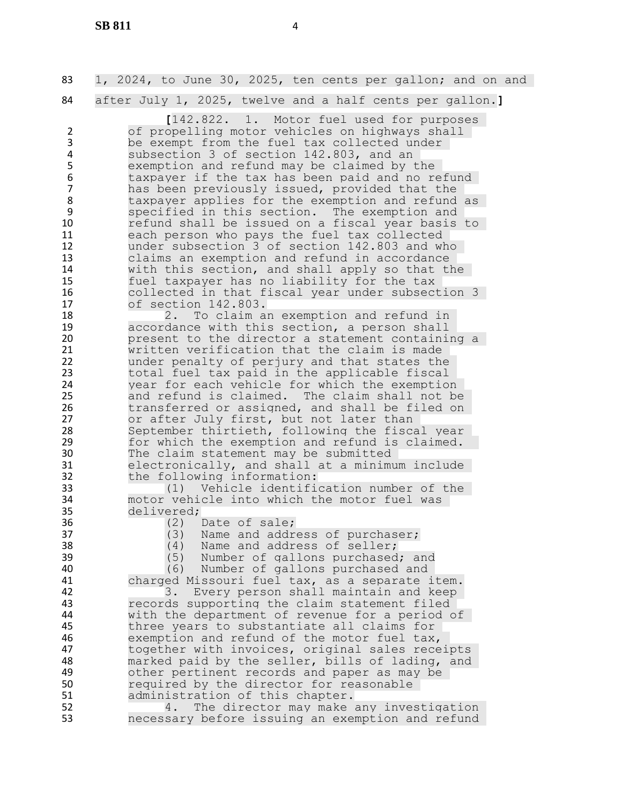| 83                                                                                                              | 1, 2024, to June 30, 2025, ten cents per gallon; and on and                                                                                                                                                                                                                                                                                                                                                                                                                                                                                                                                                                                                                                                                                                   |
|-----------------------------------------------------------------------------------------------------------------|---------------------------------------------------------------------------------------------------------------------------------------------------------------------------------------------------------------------------------------------------------------------------------------------------------------------------------------------------------------------------------------------------------------------------------------------------------------------------------------------------------------------------------------------------------------------------------------------------------------------------------------------------------------------------------------------------------------------------------------------------------------|
|                                                                                                                 |                                                                                                                                                                                                                                                                                                                                                                                                                                                                                                                                                                                                                                                                                                                                                               |
| 84<br>$\overline{2}$<br>3<br>$\overline{4}$<br>5<br>6<br>$\overline{7}$<br>8<br>9<br>10<br>11<br>12<br>13<br>14 | after July 1, 2025, twelve and a half cents per gallon.]<br>[142.822. 1. Motor fuel used for purposes<br>of propelling motor vehicles on highways shall<br>be exempt from the fuel tax collected under<br>subsection 3 of section 142.803, and an<br>exemption and refund may be claimed by the<br>taxpayer if the tax has been paid and no refund<br>has been previously issued, provided that the<br>taxpayer applies for the exemption and refund as<br>specified in this section. The exemption and<br>refund shall be issued on a fiscal year basis to<br>each person who pays the fuel tax collected<br>under subsection 3 of section 142.803 and who<br>claims an exemption and refund in accordance<br>with this section, and shall apply so that the |
| 15                                                                                                              | fuel taxpayer has no liability for the tax                                                                                                                                                                                                                                                                                                                                                                                                                                                                                                                                                                                                                                                                                                                    |
| 16<br>17                                                                                                        | collected in that fiscal year under subsection 3<br>of section 142.803.                                                                                                                                                                                                                                                                                                                                                                                                                                                                                                                                                                                                                                                                                       |
| 18<br>19<br>20                                                                                                  | To claim an exemption and refund in<br>2.<br>accordance with this section, a person shall<br>present to the director a statement containing a                                                                                                                                                                                                                                                                                                                                                                                                                                                                                                                                                                                                                 |
| 21<br>22<br>23<br>24<br>25                                                                                      | written verification that the claim is made<br>under penalty of perjury and that states the<br>total fuel tax paid in the applicable fiscal<br>year for each vehicle for which the exemption<br>and refund is claimed. The claim shall not be                                                                                                                                                                                                                                                                                                                                                                                                                                                                                                                 |
| 26<br>27<br>28                                                                                                  | transferred or assigned, and shall be filed on<br>or after July first, but not later than<br>September thirtieth, following the fiscal year                                                                                                                                                                                                                                                                                                                                                                                                                                                                                                                                                                                                                   |
| 29<br>30<br>31<br>32                                                                                            | for which the exemption and refund is claimed.<br>The claim statement may be submitted<br>electronically, and shall at a minimum include<br>the following information:                                                                                                                                                                                                                                                                                                                                                                                                                                                                                                                                                                                        |
| 33<br>34<br>35<br>36                                                                                            | (1) Vehicle identification number of the<br>motor vehicle into which the motor fuel was<br>delivered;<br>Date of sale;                                                                                                                                                                                                                                                                                                                                                                                                                                                                                                                                                                                                                                        |
| 37<br>38<br>39                                                                                                  | (2)<br>Name and address of purchaser;<br>(3)<br>(4)<br>Name and address of seller;<br>(5)<br>Number of gallons purchased; and                                                                                                                                                                                                                                                                                                                                                                                                                                                                                                                                                                                                                                 |
| 40<br>41<br>42                                                                                                  | (6)<br>Number of gallons purchased and<br>charged Missouri fuel tax, as a separate item.<br>3.<br>Every person shall maintain and keep                                                                                                                                                                                                                                                                                                                                                                                                                                                                                                                                                                                                                        |
| 43<br>44<br>45                                                                                                  | records supporting the claim statement filed<br>with the department of revenue for a period of<br>three years to substantiate all claims for                                                                                                                                                                                                                                                                                                                                                                                                                                                                                                                                                                                                                  |
| 46<br>47<br>48<br>49                                                                                            | exemption and refund of the motor fuel tax,<br>together with invoices, original sales receipts<br>marked paid by the seller, bills of lading, and<br>other pertinent records and paper as may be                                                                                                                                                                                                                                                                                                                                                                                                                                                                                                                                                              |
| 50<br>51<br>52                                                                                                  | required by the director for reasonable<br>administration of this chapter.<br>The director may make any investigation<br>4.                                                                                                                                                                                                                                                                                                                                                                                                                                                                                                                                                                                                                                   |

necessary before issuing an exemption and refund